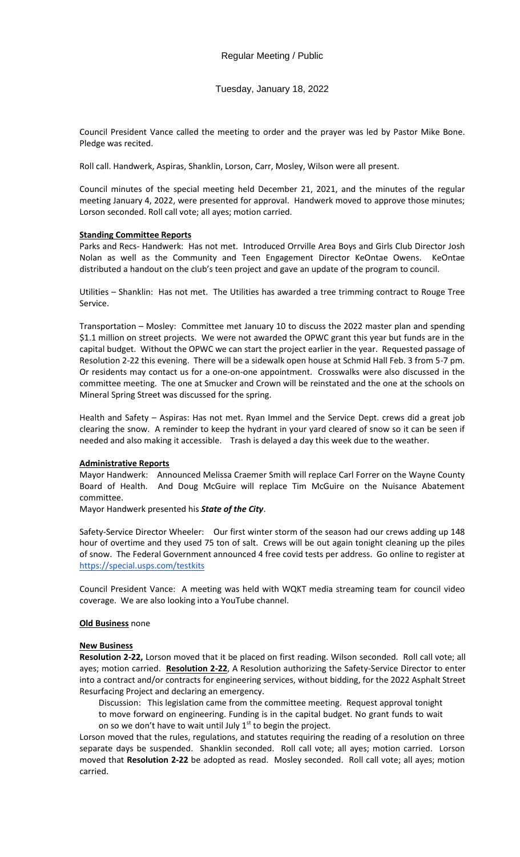Tuesday, January 18, 2022

Council President Vance called the meeting to order and the prayer was led by Pastor Mike Bone. Pledge was recited.

Roll call. Handwerk, Aspiras, Shanklin, Lorson, Carr, Mosley, Wilson were all present.

Council minutes of the special meeting held December 21, 2021, and the minutes of the regular meeting January 4, 2022, were presented for approval. Handwerk moved to approve those minutes; Lorson seconded. Roll call vote; all ayes; motion carried.

## **Standing Committee Reports**

Parks and Recs- Handwerk: Has not met. Introduced Orrville Area Boys and Girls Club Director Josh Nolan as well as the Community and Teen Engagement Director KeOntae Owens. KeOntae distributed a handout on the club's teen project and gave an update of the program to council.

Utilities – Shanklin: Has not met. The Utilities has awarded a tree trimming contract to Rouge Tree Service.

Transportation – Mosley: Committee met January 10 to discuss the 2022 master plan and spending \$1.1 million on street projects. We were not awarded the OPWC grant this year but funds are in the capital budget. Without the OPWC we can start the project earlier in the year. Requested passage of Resolution 2-22 this evening. There will be a sidewalk open house at Schmid Hall Feb. 3 from 5-7 pm. Or residents may contact us for a one-on-one appointment. Crosswalks were also discussed in the committee meeting. The one at Smucker and Crown will be reinstated and the one at the schools on Mineral Spring Street was discussed for the spring.

Health and Safety – Aspiras: Has not met. Ryan Immel and the Service Dept. crews did a great job clearing the snow. A reminder to keep the hydrant in your yard cleared of snow so it can be seen if needed and also making it accessible. Trash is delayed a day this week due to the weather.

## **Administrative Reports**

Mayor Handwerk: Announced Melissa Craemer Smith will replace Carl Forrer on the Wayne County Board of Health. And Doug McGuire will replace Tim McGuire on the Nuisance Abatement committee.

Mayor Handwerk presented his *State of the City*.

Safety-Service Director Wheeler: Our first winter storm of the season had our crews adding up 148 hour of overtime and they used 75 ton of salt. Crews will be out again tonight cleaning up the piles of snow. The Federal Government announced 4 free covid tests per address. Go online to register at <https://special.usps.com/testkits>

Council President Vance: A meeting was held with WQKT media streaming team for council video coverage. We are also looking into a YouTube channel.

## **Old Business** none

## **New Business**

**Resolution 2-22,** Lorson moved that it be placed on first reading. Wilson seconded. Roll call vote; all ayes; motion carried. **Resolution 2-22**, A Resolution authorizing the Safety-Service Director to enter into a contract and/or contracts for engineering services, without bidding, for the 2022 Asphalt Street Resurfacing Project and declaring an emergency.

Discussion: This legislation came from the committee meeting. Request approval tonight to move forward on engineering. Funding is in the capital budget. No grant funds to wait on so we don't have to wait until July  $1<sup>st</sup>$  to begin the project.

Lorson moved that the rules, regulations, and statutes requiring the reading of a resolution on three separate days be suspended. Shanklin seconded. Roll call vote; all ayes; motion carried. Lorson moved that **Resolution 2-22** be adopted as read. Mosley seconded. Roll call vote; all ayes; motion carried.